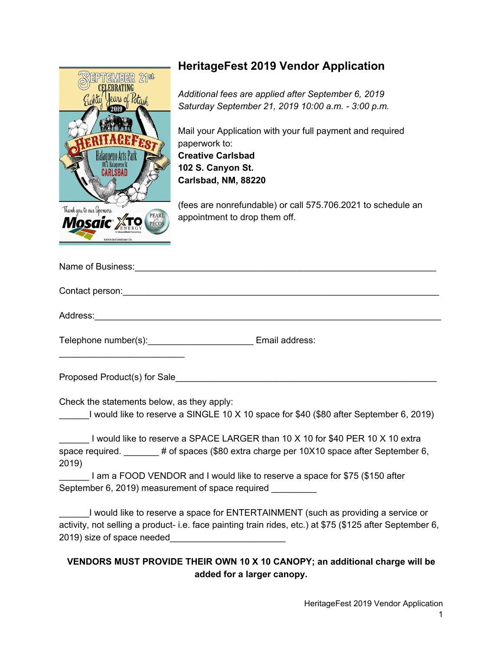

## **HeritageFest 2019 Vendor Application**

*Additional fees are applied after September 6, 2019 Saturday September 21, 2019 10:00 a.m. - 3:00 p.m.*

Mail your Application with your full payment and required paperwork to: **Creative Carlsbad 102 S. Canyon St. Carlsbad, NM, 88220**

(fees are nonrefundable) or call 575.706.2021 to schedule an appointment to drop them off.

| Name of Business: Manual Manual Manual Manual Manual Manual Manual Manual Manual Manual Manual Manual Manual                                                                                                                         |                |
|--------------------------------------------------------------------------------------------------------------------------------------------------------------------------------------------------------------------------------------|----------------|
| Contact person: <u>contact of the set of the set of the set of the set of the set of the set of the set of the set of the set of the set of the set of the set of the set of the set of the set of the set of the set of the set</u> |                |
|                                                                                                                                                                                                                                      |                |
| Telephone number(s):                                                                                                                                                                                                                 | Email address: |

Proposed Product(s) for Sale

Check the statements below, as they apply:

\_\_\_\_\_\_I would like to reserve a SINGLE 10 X 10 space for \$40 (\$80 after September 6, 2019)

I would like to reserve a SPACE LARGER than 10 X 10 for \$40 PER 10 X 10 extra space required.  $\qquad \qquad #$  of spaces (\$80 extra charge per 10X10 space after September 6, 2019)

I am a FOOD VENDOR and I would like to reserve a space for \$75 (\$150 after September 6, 2019) measurement of space required

I would like to reserve a space for ENTERTAINMENT (such as providing a service or activity, not selling a product- i.e. face painting train rides, etc.) at \$75 (\$125 after September 6, 2019) size of space needed

## **VENDORS MUST PROVIDE THEIR OWN 10 X 10 CANOPY; an additional charge will be added for a larger canopy.**